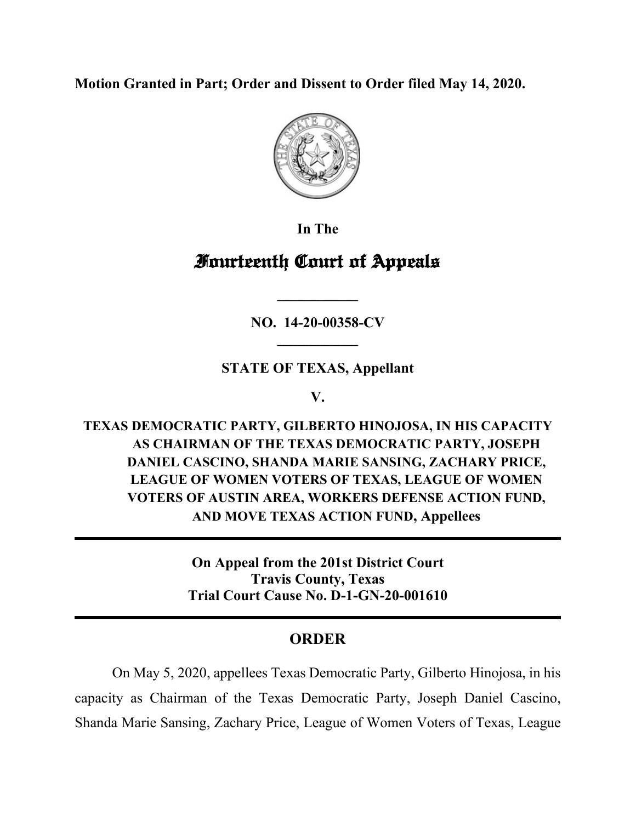**Motion Granted in Part; Order and Dissent to Order filed May 14, 2020.** 



**In The**

## **Fourteenth Court of Appeals**

**NO. 14-20-00358-CV \_\_\_\_\_\_\_\_\_\_\_\_**

**\_\_\_\_\_\_\_\_\_\_\_\_**

**STATE OF TEXAS, Appellant**

**V.**

**TEXAS DEMOCRATIC PARTY, GILBERTO HINOJOSA, IN HIS CAPACITY AS CHAIRMAN OF THE TEXAS DEMOCRATIC PARTY, JOSEPH DANIEL CASCINO, SHANDA MARIE SANSING, ZACHARY PRICE, LEAGUE OF WOMEN VOTERS OF TEXAS, LEAGUE OF WOMEN VOTERS OF AUSTIN AREA, WORKERS DEFENSE ACTION FUND, AND MOVE TEXAS ACTION FUND, Appellees**

> **On Appeal from the 201st District Court Travis County, Texas Trial Court Cause No. D-1-GN-20-001610**

## **ORDER**

On May 5, 2020, appellees Texas Democratic Party, Gilberto Hinojosa, in his capacity as Chairman of the Texas Democratic Party, Joseph Daniel Cascino, Shanda Marie Sansing, Zachary Price, League of Women Voters of Texas, League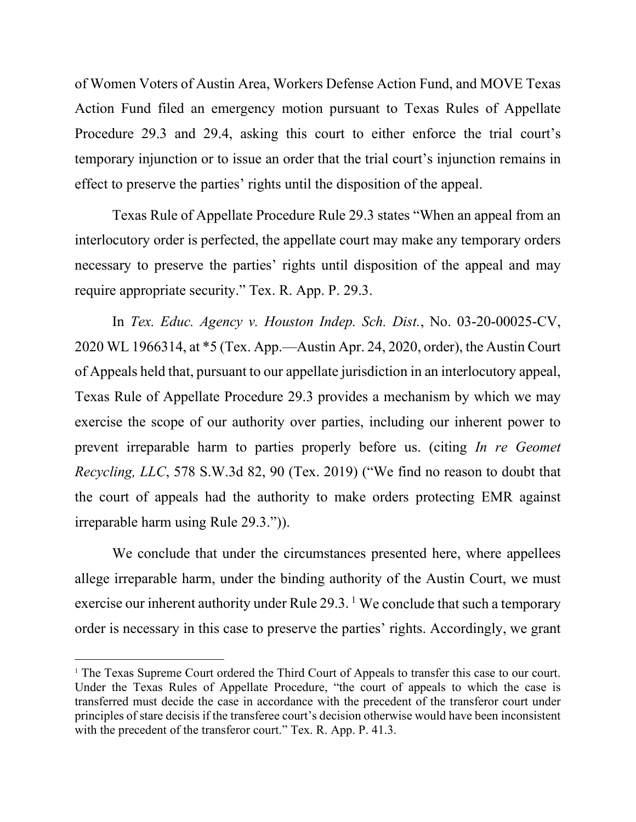of Women Voters of Austin Area, Workers Defense Action Fund, and MOVE Texas Action Fund filed an emergency motion pursuant to Texas Rules of Appellate Procedure 29.3 and 29.4, asking this court to either enforce the trial court's temporary injunction or to issue an order that the trial court's injunction remains in effect to preserve the parties' rights until the disposition of the appeal.

Texas Rule of Appellate Procedure Rule 29.3 states "When an appeal from an interlocutory order is perfected, the appellate court may make any temporary orders necessary to preserve the parties' rights until disposition of the appeal and may require appropriate security." Tex. R. App. P. 29.3.

In *Tex. Educ. Agency v. Houston Indep. Sch. Dist.*, No. 03-20-00025-CV, 2020 WL 1966314, at \*5 (Tex. App.—Austin Apr. 24, 2020, order), the Austin Court of Appeals held that, pursuant to our appellate jurisdiction in an interlocutory appeal, Texas Rule of Appellate Procedure 29.3 provides a mechanism by which we may exercise the scope of our authority over parties, including our inherent power to prevent irreparable harm to parties properly before us. (citing *In re Geomet Recycling, LLC*, 578 S.W.3d 82, 90 (Tex. 2019) ("We find no reason to doubt that the court of appeals had the authority to make orders protecting EMR against irreparable harm using Rule 29.3.")).

We conclude that under the circumstances presented here, where appellees allege irreparable harm, under the binding authority of the Austin Court, we must exercise our inherent authority under Rule  $29.3$ . We conclude that such a temporary order is necessary in this case to preserve the parties' rights. Accordingly, we grant

<span id="page-1-0"></span><sup>&</sup>lt;sup>1</sup> The Texas Supreme Court ordered the Third Court of Appeals to transfer this case to our court. Under the Texas Rules of Appellate Procedure, "the court of appeals to which the case is transferred must decide the case in accordance with the precedent of the transferor court under principles of stare decisis if the transferee court's decision otherwise would have been inconsistent with the precedent of the transferor court." Tex. R. App. P. 41.3.